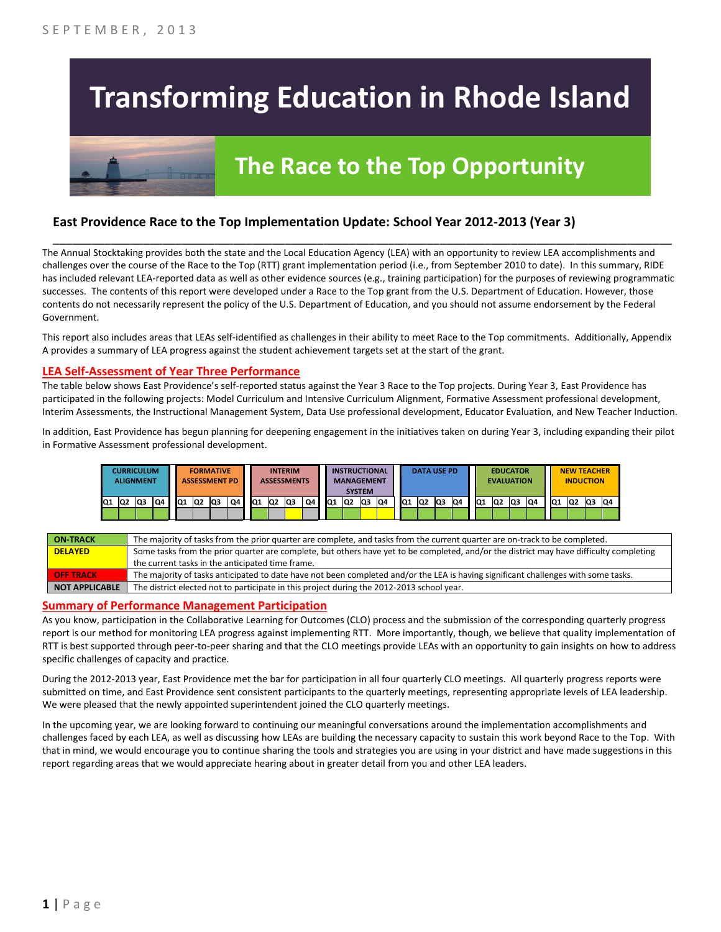# **Transforming Education in Rhode Island**

# **The Race to the Top Opportunity**

### **East Providence Race to the Top Implementation Update: School Year 2012-2013 (Year 3)**

The Annual Stocktaking provides both the state and the Local Education Agency (LEA) with an opportunity to review LEA accomplishments and challenges over the course of the Race to the Top (RTT) grant implementation period (i.e., from September 2010 to date). In this summary, RIDE has included relevant LEA-reported data as well as other evidence sources (e.g., training participation) for the purposes of reviewing programmatic successes. The contents of this report were developed under a Race to the Top grant from the U.S. Department of Education. However, those contents do not necessarily represent the policy of the U.S. Department of Education, and you should not assume endorsement by the Federal Government.

\_\_\_\_\_\_\_\_\_\_\_\_\_\_\_\_\_\_\_\_\_\_\_\_\_\_\_\_\_\_\_\_\_\_\_\_\_\_\_\_\_\_\_\_\_\_\_\_\_\_\_\_\_\_\_\_\_\_\_\_\_\_\_\_\_\_\_\_\_\_\_\_\_\_\_\_\_\_\_\_\_\_\_\_\_\_\_\_\_\_\_\_\_\_\_\_

This report also includes areas that LEAs self-identified as challenges in their ability to meet Race to the Top commitments. Additionally, Appendix A provides a summary of LEA progress against the student achievement targets set at the start of the grant.

#### **LEA Self-Assessment of Year Three Performance**

The table below shows East Providence's self-reported status against the Year 3 Race to the Top projects. During Year 3, East Providence has participated in the following projects: Model Curriculum and Intensive Curriculum Alignment, Formative Assessment professional development, Interim Assessments, the Instructional Management System, Data Use professional development, Educator Evaluation, and New Teacher Induction.

In addition, East Providence has begun planning for deepening engagement in the initiatives taken on during Year 3, including expanding their pilot in Formative Assessment professional development.



| <b>ON-TRACK</b>  | The majority of tasks from the prior quarter are complete, and tasks from the current quarter are on-track to be completed.             |
|------------------|-----------------------------------------------------------------------------------------------------------------------------------------|
| <b>DELAYED</b>   | Some tasks from the prior quarter are complete, but others have yet to be completed, and/or the district may have difficulty completing |
|                  | the current tasks in the anticipated time frame.                                                                                        |
| <b>OFF TRACK</b> | The majority of tasks anticipated to date have not been completed and/or the LEA is having significant challenges with some tasks.      |
| NOT APPLICABLE   | The district elected not to participate in this project during the 2012-2013 school year.                                               |

#### **Summary of Performance Management Participation**

As you know, participation in the Collaborative Learning for Outcomes (CLO) process and the submission of the corresponding quarterly progress report is our method for monitoring LEA progress against implementing RTT. More importantly, though, we believe that quality implementation of RTT is best supported through peer-to-peer sharing and that the CLO meetings provide LEAs with an opportunity to gain insights on how to address specific challenges of capacity and practice.

During the 2012-2013 year, East Providence met the bar for participation in all four quarterly CLO meetings. All quarterly progress reports were submitted on time, and East Providence sent consistent participants to the quarterly meetings, representing appropriate levels of LEA leadership. We were pleased that the newly appointed superintendent joined the CLO quarterly meetings.

In the upcoming year, we are looking forward to continuing our meaningful conversations around the implementation accomplishments and challenges faced by each LEA, as well as discussing how LEAs are building the necessary capacity to sustain this work beyond Race to the Top. With that in mind, we would encourage you to continue sharing the tools and strategies you are using in your district and have made suggestions in this report regarding areas that we would appreciate hearing about in greater detail from you and other LEA leaders.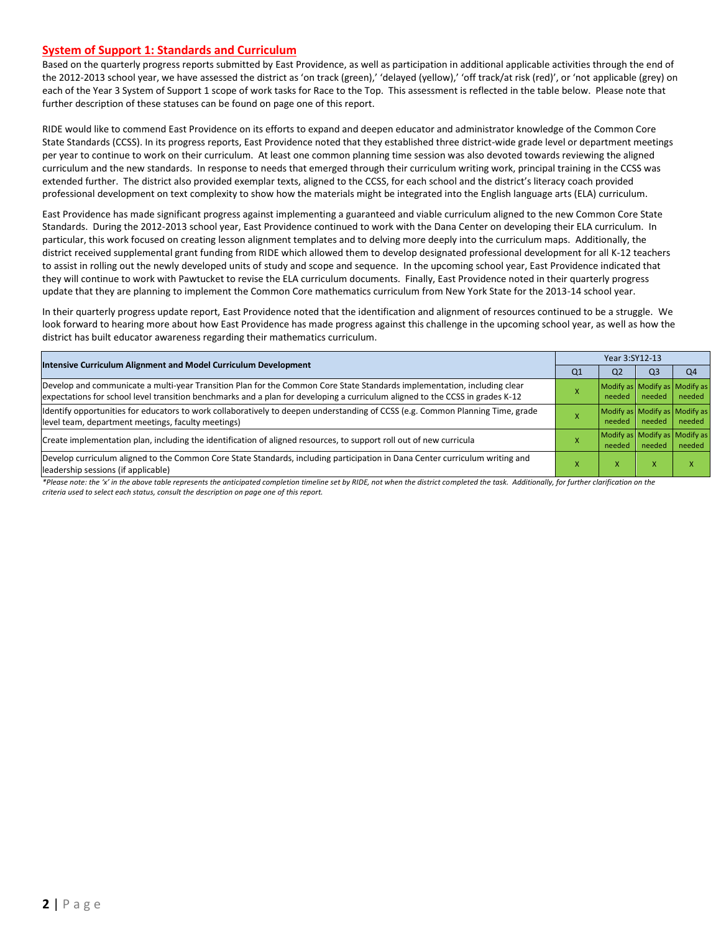#### **System of Support 1: Standards and Curriculum**

Based on the quarterly progress reports submitted by East Providence, as well as participation in additional applicable activities through the end of the 2012-2013 school year, we have assessed the district as 'on track (green),' 'delayed (yellow),' 'off track/at risk (red)', or 'not applicable (grey) on each of the Year 3 System of Support 1 scope of work tasks for Race to the Top. This assessment is reflected in the table below. Please note that further description of these statuses can be found on page one of this report.

RIDE would like to commend East Providence on its efforts to expand and deepen educator and administrator knowledge of the Common Core State Standards (CCSS). In its progress reports, East Providence noted that they established three district-wide grade level or department meetings per year to continue to work on their curriculum. At least one common planning time session was also devoted towards reviewing the aligned curriculum and the new standards. In response to needs that emerged through their curriculum writing work, principal training in the CCSS was extended further. The district also provided exemplar texts, aligned to the CCSS, for each school and the district's literacy coach provided professional development on text complexity to show how the materials might be integrated into the English language arts (ELA) curriculum.

East Providence has made significant progress against implementing a guaranteed and viable curriculum aligned to the new Common Core State Standards. During the 2012-2013 school year, East Providence continued to work with the Dana Center on developing their ELA curriculum. In particular, this work focused on creating lesson alignment templates and to delving more deeply into the curriculum maps. Additionally, the district received supplemental grant funding from RIDE which allowed them to develop designated professional development for all K-12 teachers to assist in rolling out the newly developed units of study and scope and sequence. In the upcoming school year, East Providence indicated that they will continue to work with Pawtucket to revise the ELA curriculum documents. Finally, East Providence noted in their quarterly progress update that they are planning to implement the Common Core mathematics curriculum from New York State for the 2013-14 school year.

In their quarterly progress update report, East Providence noted that the identification and alignment of resources continued to be a struggle. We look forward to hearing more about how East Providence has made progress against this challenge in the upcoming school year, as well as how the district has built educator awareness regarding their mathematics curriculum.

|                                                                                                                                                                                                                                                           |    | Year 3:SY12-13                          |                |                |  |  |  |
|-----------------------------------------------------------------------------------------------------------------------------------------------------------------------------------------------------------------------------------------------------------|----|-----------------------------------------|----------------|----------------|--|--|--|
| Intensive Curriculum Alignment and Model Curriculum Development                                                                                                                                                                                           | Q1 | Q <sub>2</sub>                          | Q <sub>3</sub> | Q <sub>4</sub> |  |  |  |
| Develop and communicate a multi-year Transition Plan for the Common Core State Standards implementation, including clear<br>expectations for school level transition benchmarks and a plan for developing a curriculum aligned to the CCSS in grades K-12 |    | Modify as Modify as Modify as<br>needed | needed         | needed         |  |  |  |
| Identify opportunities for educators to work collaboratively to deepen understanding of CCSS (e.g. Common Planning Time, grade<br>level team, department meetings, faculty meetings)                                                                      |    | Modify as Modify as Modify as<br>needed | needed         | needed         |  |  |  |
| Create implementation plan, including the identification of aligned resources, to support roll out of new curricula                                                                                                                                       |    | Modify as Modify as Modify as<br>needed | needed         | needed         |  |  |  |
| Develop curriculum aligned to the Common Core State Standards, including participation in Dana Center curriculum writing and<br>leadership sessions (if applicable)                                                                                       |    | ^                                       | v              |                |  |  |  |

*\*Please note: the 'x' in the above table represents the anticipated completion timeline set by RIDE, not when the district completed the task. Additionally, for further clarification on the criteria used to select each status, consult the description on page one of this report.*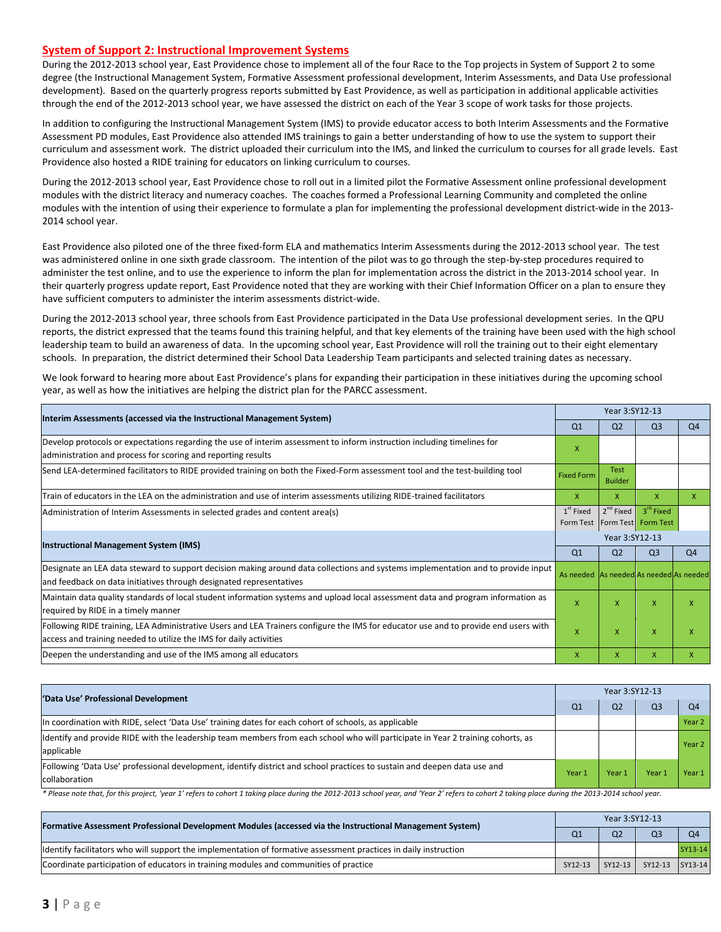#### **System of Support 2: Instructional Improvement Systems**

During the 2012-2013 school year, East Providence chose to implement all of the four Race to the Top projects in System of Support 2 to some degree (the Instructional Management System, Formative Assessment professional development, Interim Assessments, and Data Use professional development). Based on the quarterly progress reports submitted by East Providence, as well as participation in additional applicable activities through the end of the 2012-2013 school year, we have assessed the district on each of the Year 3 scope of work tasks for those projects.

In addition to configuring the Instructional Management System (IMS) to provide educator access to both Interim Assessments and the Formative Assessment PD modules, East Providence also attended IMS trainings to gain a better understanding of how to use the system to support their curriculum and assessment work. The district uploaded their curriculum into the IMS, and linked the curriculum to courses for all grade levels. East Providence also hosted a RIDE training for educators on linking curriculum to courses.

During the 2012-2013 school year, East Providence chose to roll out in a limited pilot the Formative Assessment online professional development modules with the district literacy and numeracy coaches. The coaches formed a Professional Learning Community and completed the online modules with the intention of using their experience to formulate a plan for implementing the professional development district-wide in the 2013- 2014 school year.

East Providence also piloted one of the three fixed-form ELA and mathematics Interim Assessments during the 2012-2013 school year. The test was administered online in one sixth grade classroom. The intention of the pilot was to go through the step-by-step procedures required to administer the test online, and to use the experience to inform the plan for implementation across the district in the 2013-2014 school year. In their quarterly progress update report, East Providence noted that they are working with their Chief Information Officer on a plan to ensure they have sufficient computers to administer the interim assessments district-wide.

During the 2012-2013 school year, three schools from East Providence participated in the Data Use professional development series. In the QPU reports, the district expressed that the teams found this training helpful, and that key elements of the training have been used with the high school leadership team to build an awareness of data. In the upcoming school year, East Providence will roll the training out to their eight elementary schools. In preparation, the district determined their School Data Leadership Team participants and selected training dates as necessary.

We look forward to hearing more about East Providence's plans for expanding their participation in these initiatives during the upcoming school year, as well as how the initiatives are helping the district plan for the PARCC assessment.

|                                                                                                                                                                                                           |                                         | Year 3:SY12-13                |                                              |                |  |  |
|-----------------------------------------------------------------------------------------------------------------------------------------------------------------------------------------------------------|-----------------------------------------|-------------------------------|----------------------------------------------|----------------|--|--|
| Interim Assessments (accessed via the Instructional Management System)                                                                                                                                    | Q <sub>1</sub>                          | Q <sub>2</sub>                | Q <sub>3</sub>                               | Q <sub>4</sub> |  |  |
| Develop protocols or expectations regarding the use of interim assessment to inform instruction including timelines for<br>administration and process for scoring and reporting results                   | X                                       |                               |                                              |                |  |  |
| Send LEA-determined facilitators to RIDE provided training on both the Fixed-Form assessment tool and the test-building tool                                                                              | <b>Fixed Form</b>                       | <b>Test</b><br><b>Builder</b> |                                              |                |  |  |
| Train of educators in the LEA on the administration and use of interim assessments utilizing RIDE-trained facilitators                                                                                    | X                                       | X                             | X                                            | X.             |  |  |
| Administration of Interim Assessments in selected grades and content area(s)<br>Form Test                                                                                                                 |                                         | $2^{nd}$ Fixed                | 3 <sup>rd</sup> Fixed<br>Form Test Form Test |                |  |  |
| Instructional Management System (IMS)                                                                                                                                                                     |                                         | Year 3:SY12-13                |                                              |                |  |  |
|                                                                                                                                                                                                           |                                         | Q <sub>2</sub>                | Q <sub>3</sub>                               | Q <sub>4</sub> |  |  |
| Designate an LEA data steward to support decision making around data collections and systems implementation and to provide input<br>and feedback on data initiatives through designated representatives   | As needed As needed As needed As needed |                               |                                              |                |  |  |
| Maintain data quality standards of local student information systems and upload local assessment data and program information as<br>required by RIDE in a timely manner                                   |                                         | X                             | X                                            | X              |  |  |
| Following RIDE training, LEA Administrative Users and LEA Trainers configure the IMS for educator use and to provide end users with<br>access and training needed to utilize the IMS for daily activities | X                                       | X                             | X                                            | X              |  |  |
| Deepen the understanding and use of the IMS among all educators                                                                                                                                           | X                                       | X                             | X                                            | X              |  |  |

| 'Data Use' Professional Development                                                                                                           |        | Year 3:SY12-13 |                |                   |  |  |
|-----------------------------------------------------------------------------------------------------------------------------------------------|--------|----------------|----------------|-------------------|--|--|
|                                                                                                                                               |        | Q <sub>2</sub> | Q <sub>3</sub> | Q <sub>4</sub>    |  |  |
| In coordination with RIDE, select 'Data Use' training dates for each cohort of schools, as applicable                                         |        |                |                | Year <sub>2</sub> |  |  |
| ldentify and provide RIDE with the leadership team members from each school who will participate in Year 2 training cohorts, as<br>applicable |        |                |                | Year <sub>2</sub> |  |  |
| Following 'Data Use' professional development, identify district and school practices to sustain and deepen data use and<br>collaboration     | Year 1 | Year 1         | Year 1         | Year 1            |  |  |

\* Please note that, for this project, 'year 1' refers to cohort 1 taking place during the 2012-2013 school year, and 'Year 2' refers to cohort 2 taking place during the 2013-2014 school year.

| [Formative Assessment Professional Development Modules (accessed via the Instructional Management System)         |         | Year 3:SY12-13 |                 |                |  |  |
|-------------------------------------------------------------------------------------------------------------------|---------|----------------|-----------------|----------------|--|--|
|                                                                                                                   |         | Q <sub>2</sub> | Q <sub>3</sub>  | O <sub>4</sub> |  |  |
| Ildentify facilitators who will support the implementation of formative assessment practices in daily instruction |         |                |                 | SY13-14        |  |  |
| Coordinate participation of educators in training modules and communities of practice                             | SY12-13 | SY12-13        | SY12-13 SY13-14 |                |  |  |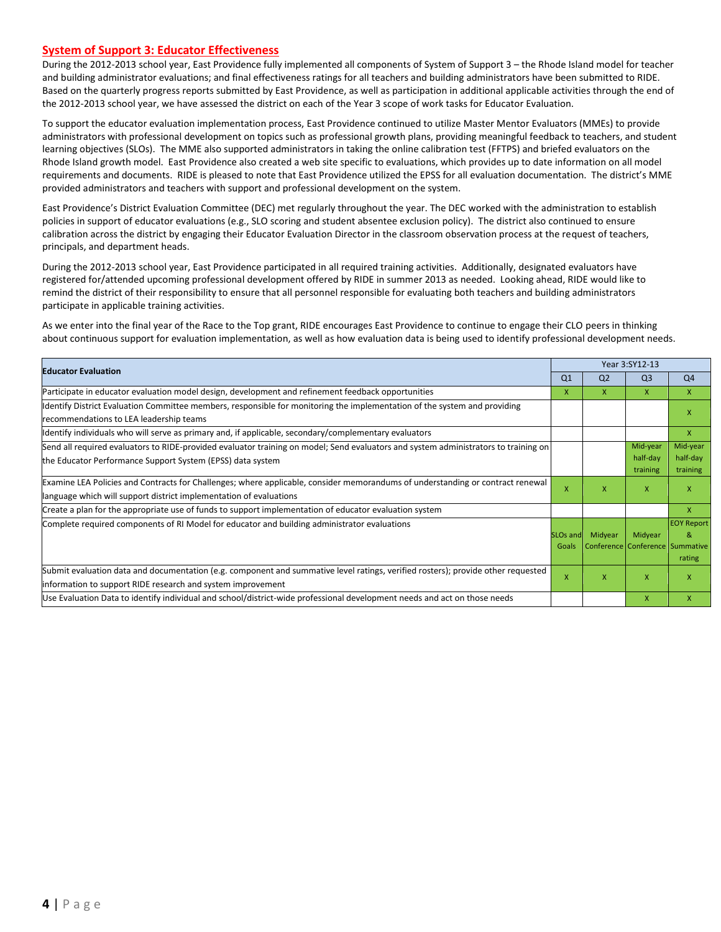#### **System of Support 3: Educator Effectiveness**

During the 2012-2013 school year, East Providence fully implemented all components of System of Support 3 – the Rhode Island model for teacher and building administrator evaluations; and final effectiveness ratings for all teachers and building administrators have been submitted to RIDE. Based on the quarterly progress reports submitted by East Providence, as well as participation in additional applicable activities through the end of the 2012-2013 school year, we have assessed the district on each of the Year 3 scope of work tasks for Educator Evaluation.

To support the educator evaluation implementation process, East Providence continued to utilize Master Mentor Evaluators (MMEs) to provide administrators with professional development on topics such as professional growth plans, providing meaningful feedback to teachers, and student learning objectives (SLOs). The MME also supported administrators in taking the online calibration test (FFTPS) and briefed evaluators on the Rhode Island growth model. East Providence also created a web site specific to evaluations, which provides up to date information on all model requirements and documents. RIDE is pleased to note that East Providence utilized the EPSS for all evaluation documentation. The district's MME provided administrators and teachers with support and professional development on the system.

East Providence's District Evaluation Committee (DEC) met regularly throughout the year. The DEC worked with the administration to establish policies in support of educator evaluations (e.g., SLO scoring and student absentee exclusion policy). The district also continued to ensure calibration across the district by engaging their Educator Evaluation Director in the classroom observation process at the request of teachers, principals, and department heads.

During the 2012-2013 school year, East Providence participated in all required training activities. Additionally, designated evaluators have registered for/attended upcoming professional development offered by RIDE in summer 2013 as needed. Looking ahead, RIDE would like to remind the district of their responsibility to ensure that all personnel responsible for evaluating both teachers and building administrators participate in applicable training activities.

As we enter into the final year of the Race to the Top grant, RIDE encourages East Providence to continue to engage their CLO peers in thinking about continuous support for evaluation implementation, as well as how evaluation data is being used to identify professional development needs.

| <b>Educator Evaluation</b>                                                                                                                                                                           |                               | Year 3:SY12-13 |                                            |                                  |  |
|------------------------------------------------------------------------------------------------------------------------------------------------------------------------------------------------------|-------------------------------|----------------|--------------------------------------------|----------------------------------|--|
|                                                                                                                                                                                                      | Q <sub>1</sub>                | Q <sub>2</sub> | Q <sub>3</sub>                             | Q <sub>4</sub>                   |  |
| Participate in educator evaluation model design, development and refinement feedback opportunities                                                                                                   | X.                            | x              | X                                          | $\mathsf{x}$                     |  |
| Identify District Evaluation Committee members, responsible for monitoring the implementation of the system and providing<br>recommendations to LEA leadership teams                                 |                               |                |                                            | X                                |  |
| ldentify individuals who will serve as primary and, if applicable, secondary/complementary evaluators                                                                                                |                               |                |                                            | $\mathsf{x}$                     |  |
| Send all required evaluators to RIDE-provided evaluator training on model; Send evaluators and system administrators to training on<br>the Educator Performance Support System (EPSS) data system    |                               |                | Mid-year<br>half-day<br>training           | Mid-year<br>half-day<br>training |  |
| Examine LEA Policies and Contracts for Challenges; where applicable, consider memorandums of understanding or contract renewal<br>language which will support district implementation of evaluations | x                             | X              | X                                          | X                                |  |
| Create a plan for the appropriate use of funds to support implementation of educator evaluation system                                                                                               |                               |                |                                            | $\mathsf{x}$                     |  |
| Complete required components of RI Model for educator and building administrator evaluations                                                                                                         | SLO <sub>s</sub> and<br>Goals | Midyear        | Midyear<br>Conference Conference Summative | <b>EOY Report</b><br>8<br>rating |  |
| Submit evaluation data and documentation (e.g. component and summative level ratings, verified rosters); provide other requested<br>information to support RIDE research and system improvement      | x                             | X              | X                                          | X                                |  |
| Use Evaluation Data to identify individual and school/district-wide professional development needs and act on those needs                                                                            |                               |                | $\mathsf{x}$                               | $\mathsf{x}$                     |  |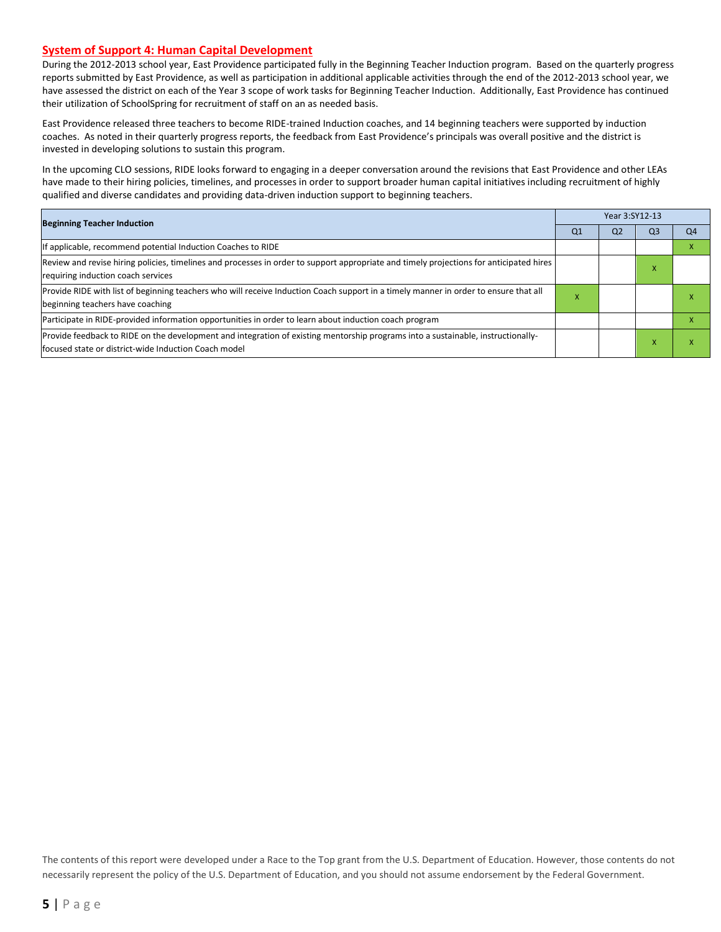#### **System of Support 4: Human Capital Development**

During the 2012-2013 school year, East Providence participated fully in the Beginning Teacher Induction program. Based on the quarterly progress reports submitted by East Providence, as well as participation in additional applicable activities through the end of the 2012-2013 school year, we have assessed the district on each of the Year 3 scope of work tasks for Beginning Teacher Induction. Additionally, East Providence has continued their utilization of SchoolSpring for recruitment of staff on an as needed basis.

East Providence released three teachers to become RIDE-trained Induction coaches, and 14 beginning teachers were supported by induction coaches. As noted in their quarterly progress reports, the feedback from East Providence's principals was overall positive and the district is invested in developing solutions to sustain this program.

In the upcoming CLO sessions, RIDE looks forward to engaging in a deeper conversation around the revisions that East Providence and other LEAs have made to their hiring policies, timelines, and processes in order to support broader human capital initiatives including recruitment of highly qualified and diverse candidates and providing data-driven induction support to beginning teachers.

| <b>Beginning Teacher Induction</b>                                                                                                                                                        |   | Year 3:SY12-13 |                |                |
|-------------------------------------------------------------------------------------------------------------------------------------------------------------------------------------------|---|----------------|----------------|----------------|
|                                                                                                                                                                                           |   | Q <sub>2</sub> | Q <sub>3</sub> | Q <sub>4</sub> |
| If applicable, recommend potential Induction Coaches to RIDE                                                                                                                              |   |                |                |                |
| Review and revise hiring policies, timelines and processes in order to support appropriate and timely projections for anticipated hires<br>requiring induction coach services             |   |                | - ^            |                |
| Provide RIDE with list of beginning teachers who will receive Induction Coach support in a timely manner in order to ensure that all<br>beginning teachers have coaching                  | x |                |                |                |
| Participate in RIDE-provided information opportunities in order to learn about induction coach program                                                                                    |   |                |                |                |
| Provide feedback to RIDE on the development and integration of existing mentorship programs into a sustainable, instructionally-<br>lfocused state or district-wide Induction Coach model |   |                |                |                |

The contents of this report were developed under a Race to the Top grant from the U.S. Department of Education. However, those contents do not necessarily represent the policy of the U.S. Department of Education, and you should not assume endorsement by the Federal Government.